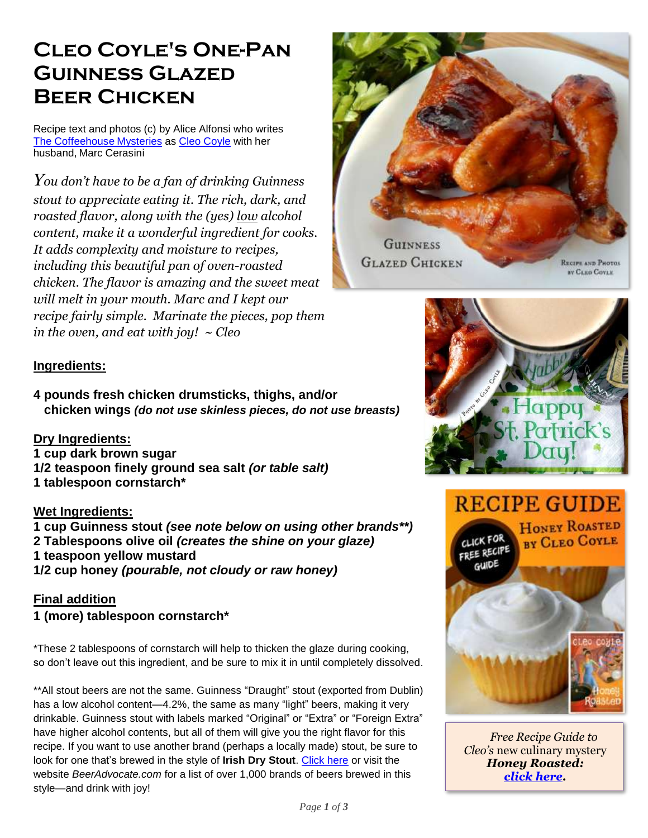## **Cleo Coyle's One-Pan Guinness Glazed Beer Chicken**

Recipe text and photos (c) by Alice Alfonsi who writes The [Coffeehouse](http://coffeehousemysteries.com/about_coffeehouse_mystery_books.cfm) Mysteries as Cleo [Coyle](http://cleocoylebooks.com/about/) with her husband, Marc Cerasini

*You don't have to be a fan of drinking Guinness stout to appreciate eating it. The rich, dark, and roasted flavor, along with the (yes) low alcohol content, make it a wonderful ingredient for cooks. It adds complexity and moisture to recipes, including this beautiful pan of oven-roasted chicken. The flavor is amazing and the sweet meat will melt in your mouth. Marc and I kept our recipe fairly simple. Marinate the pieces, pop them in the oven, and eat with joy! ~ Cleo*





## **Ingredients:**

**4 pounds fresh chicken drumsticks, thighs, and/or chicken wings** *(do not use skinless pieces, do not use breasts)*

**Dry Ingredients: 1 cup dark brown sugar 1/2 teaspoon finely ground sea salt** *(or table salt)* **1 tablespoon cornstarch\***

## **Wet Ingredients:**

**1 cup Guinness stout** *(see note below on using other brands\*\*)* **2 Tablespoons olive oil** *(creates the shine on your glaze)* **1 teaspoon yellow mustard 1/2 cup honey** *(pourable, not cloudy or raw honey)*

**Final addition 1 (more) tablespoon cornstarch\***

\*These 2 tablespoons of cornstarch will help to thicken the glaze during cooking, so don't leave out this ingredient, and be sure to mix it in until completely dissolved.

\*\*All stout beers are not the same. Guinness "Draught" stout (exported from Dublin) has a low alcohol content—4.2%, the same as many "light" beers, making it very drinkable. Guinness stout with labels marked "Original" or "Extra" or "Foreign Extra" have higher alcohol contents, but all of them will give you the right flavor for this recipe. If you want to use another brand (perhaps a locally made) stout, be sure to look for one that's brewed in the style of **Irish Dry Stout**. [Click here](https://www.beeradvocate.com/beer/style/162/?sort=revsD&start=0) or visit the website *BeerAdvocate.com* for a list of over 1,000 brands of beers brewed in this style—and drink with joy!







*[Free Recipe Guide to](https://www.coffeehousemystery.com/userfiles/file/Honey-Roasted-Recipe-Guide-Cleo-Coyle.pdf)  Cleo's* new culinary mystery *Honey Roasted: [click here.](https://www.coffeehousemystery.com/userfiles/file/Honey-Roasted-Recipe-Guide-Cleo-Coyle.pdf)*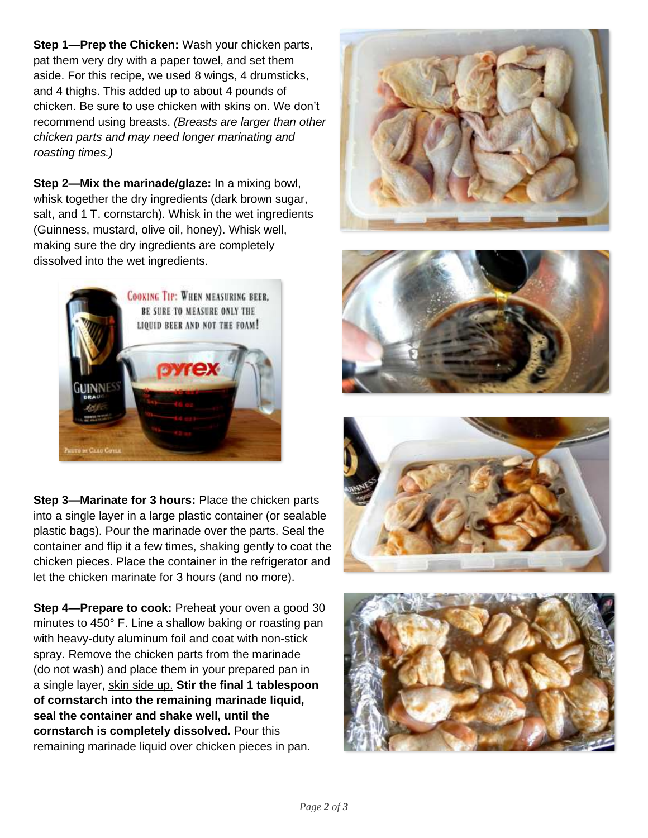**Step 1—Prep the Chicken:** Wash your chicken parts, pat them very dry with a paper towel, and set them aside. For this recipe, we used 8 wings, 4 drumsticks, and 4 thighs. This added up to about 4 pounds of chicken. Be sure to use chicken with skins on. We don't recommend using breasts. *(Breasts are larger than other chicken parts and may need longer marinating and roasting times.)*

**Step 2—Mix the marinade/glaze:** In a mixing bowl, whisk together the dry ingredients (dark brown sugar, salt, and 1 T. cornstarch). Whisk in the wet ingredients (Guinness, mustard, olive oil, honey). Whisk well, making sure the dry ingredients are completely dissolved into the wet ingredients.



**Step 3—Marinate for 3 hours:** Place the chicken parts into a single layer in a large plastic container (or sealable plastic bags). Pour the marinade over the parts. Seal the container and flip it a few times, shaking gently to coat the chicken pieces. Place the container in the refrigerator and let the chicken marinate for 3 hours (and no more).

**Step 4—Prepare to cook:** Preheat your oven a good 30 minutes to 450° F. Line a shallow baking or roasting pan with heavy-duty aluminum foil and coat with non-stick spray. Remove the chicken parts from the marinade (do not wash) and place them in your prepared pan in a single layer, skin side up. **Stir the final 1 tablespoon of cornstarch into the remaining marinade liquid, seal the container and shake well, until the cornstarch is completely dissolved.** Pour this remaining marinade liquid over chicken pieces in pan.